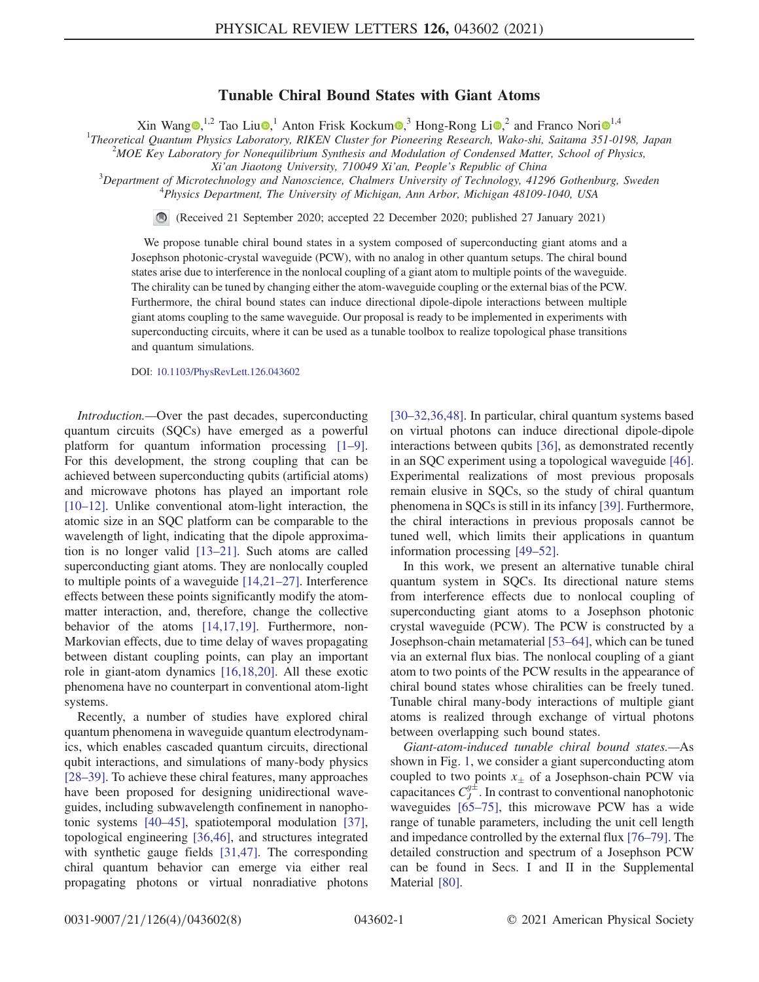## Tunable Chiral Bound States with Giant Atoms

Xin Wang  $\bullet$ ,<sup>[1](https://orcid.org/0000-0003-3682-7432),2</sup> Tao Liu $\bullet$ ,<sup>1</sup> Anton Frisk Kockum $\bullet$ ,<sup>3</sup> Hong-Rong Li $\bullet$ ,<sup>2</sup> and Franco Nori $\bullet$ <sup>1,4</sup>

<sup>1</sup>Theoretical Quantum Physics Laboratory, RIKEN Cluster for Pioneering Research, Wako-shi, Saitama 351-0198, Japan  $^{2}$ MOE Km Laboratom for Noneguilibrium Synthesis and Modulation of Condensed Matter School of Physics

 $^{2}$ MOE Key Laboratory for Nonequilibrium Synthesis and Modulation of Condensed Matter, School of Physics,

Xi'an Jiaotong University, 710049 Xi'an, People's Republic of China <sup>3</sup>

 $3$ Department of Microtechnology and Nanoscience, Chalmers University of Technology, 41296 Gothenburg, Sweden <sup>4</sup>Physics Department, The University of Michigan, Ann Arbor, Michigan 48109-1040, USA

 $\odot$ (Received 21 September 2020; accepted 22 December 2020; published 27 January 2021)

We propose tunable chiral bound states in a system composed of superconducting giant atoms and a Josephson photonic-crystal waveguide (PCW), with no analog in other quantum setups. The chiral bound states arise due to interference in the nonlocal coupling of a giant atom to multiple points of the waveguide. The chirality can be tuned by changing either the atom-waveguide coupling or the external bias of the PCW. Furthermore, the chiral bound states can induce directional dipole-dipole interactions between multiple giant atoms coupling to the same waveguide. Our proposal is ready to be implemented in experiments with superconducting circuits, where it can be used as a tunable toolbox to realize topological phase transitions and quantum simulations.

DOI: [10.1103/PhysRevLett.126.043602](https://doi.org/10.1103/PhysRevLett.126.043602)

Introduction.—Over the past decades, superconducting quantum circuits (SQCs) have emerged as a powerful platform for quantum information processing [\[1](#page-4-0)–9]. For this development, the strong coupling that can be achieved between superconducting qubits (artificial atoms) and microwave photons has played an important role [\[10](#page-4-1)–12]. Unlike conventional atom-light interaction, the atomic size in an SQC platform can be comparable to the wavelength of light, indicating that the dipole approximation is no longer valid [\[13](#page-4-2)–21]. Such atoms are called superconducting giant atoms. They are nonlocally coupled to multiple points of a waveguide [\[14,21](#page-4-3)–27]. Interference effects between these points significantly modify the atommatter interaction, and, therefore, change the collective behavior of the atoms [\[14,17,19\].](#page-4-3) Furthermore, non-Markovian effects, due to time delay of waves propagating between distant coupling points, can play an important role in giant-atom dynamics [\[16,18,20\].](#page-4-4) All these exotic phenomena have no counterpart in conventional atom-light systems.

Recently, a number of studies have explored chiral quantum phenomena in waveguide quantum electrodynamics, which enables cascaded quantum circuits, directional qubit interactions, and simulations of many-body physics [\[28](#page-5-0)–39]. To achieve these chiral features, many approaches have been proposed for designing unidirectional waveguides, including subwavelength confinement in nanophotonic systems [\[40](#page-5-1)–45], spatiotemporal modulation [\[37\]](#page-5-2), topological engineering [\[36,46\]](#page-5-3), and structures integrated with synthetic gauge fields [\[31,47\].](#page-5-4) The corresponding chiral quantum behavior can emerge via either real propagating photons or virtual nonradiative photons [30–[32,36,48\]](#page-5-5). In particular, chiral quantum systems based on virtual photons can induce directional dipole-dipole interactions between qubits [\[36\]](#page-5-3), as demonstrated recently in an SQC experiment using a topological waveguide [\[46\]](#page-5-6). Experimental realizations of most previous proposals remain elusive in SQCs, so the study of chiral quantum phenomena in SQCs is still in its infancy [\[39\].](#page-5-7) Furthermore, the chiral interactions in previous proposals cannot be tuned well, which limits their applications in quantum information processing [49–[52\].](#page-5-8)

In this work, we present an alternative tunable chiral quantum system in SQCs. Its directional nature stems from interference effects due to nonlocal coupling of superconducting giant atoms to a Josephson photonic crystal waveguide (PCW). The PCW is constructed by a Josephson-chain metamaterial [\[53](#page-5-9)–64], which can be tuned via an external flux bias. The nonlocal coupling of a giant atom to two points of the PCW results in the appearance of chiral bound states whose chiralities can be freely tuned. Tunable chiral many-body interactions of multiple giant atoms is realized through exchange of virtual photons between overlapping such bound states.

Giant-atom-induced tunable chiral bound states.—As shown in Fig. [1,](#page-1-0) we consider a giant superconducting atom coupled to two points  $x_{\pm}$  of a Josephson-chain PCW via capacitances  $C_J^{g\pm}$ . In contrast to conventional nanophotonic waveguides [\[65](#page-6-0)–75], this microwave PCW has a wide range of tunable parameters, including the unit cell length and impedance controlled by the external flux [76–[79\].](#page-6-1) The detailed construction and spectrum of a Josephson PCW can be found in Secs. I and II in the Supplemental Material [\[80\].](#page-6-2)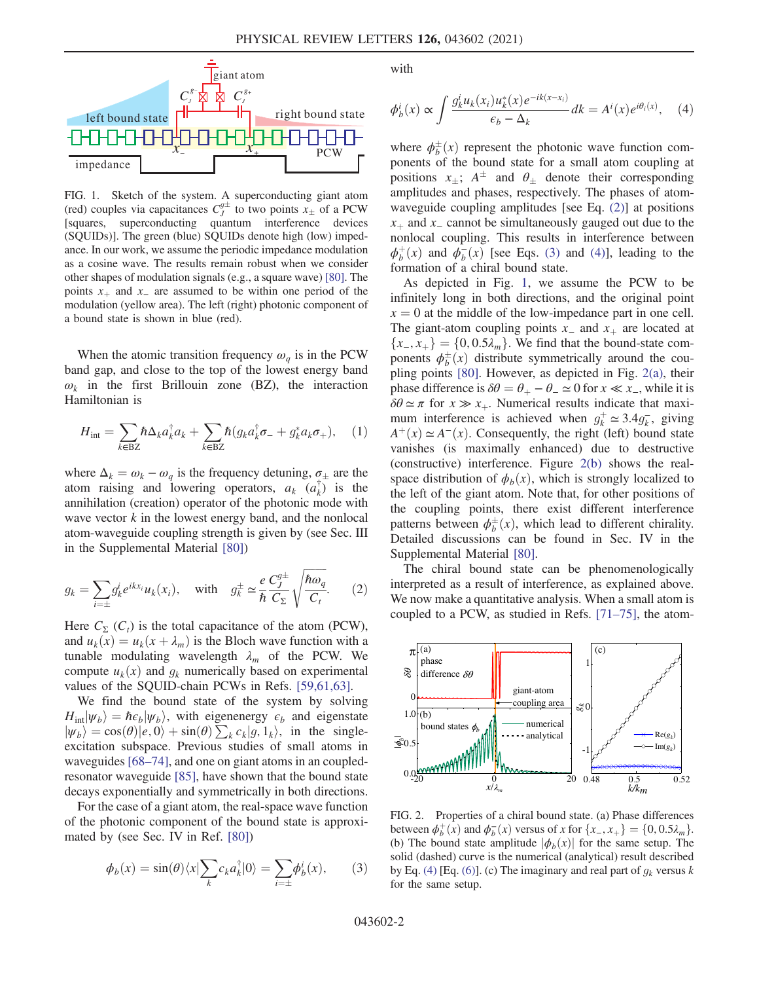<span id="page-1-0"></span>

FIG. 1. Sketch of the system. A superconducting giant atom (red) couples via capacitances  $C_y^{g\pm}$  to two points  $x_{\pm}$  of a PCW [squares, superconducting quantum interference devices (SQUIDs)]. The green (blue) SQUIDs denote high (low) impedance. In our work, we assume the periodic impedance modulation as a cosine wave. The results remain robust when we consider other shapes of modulation signals (e.g., a square wave) [\[80\].](#page-6-2) The points  $x<sub>+</sub>$  and  $x<sub>-</sub>$  are assumed to be within one period of the modulation (yellow area). The left (right) photonic component of a bound state is shown in blue (red).

When the atomic transition frequency  $\omega_a$  is in the PCW band gap, and close to the top of the lowest energy band  $\omega_k$  in the first Brillouin zone (BZ), the interaction Hamiltonian is

$$
H_{\text{int}} = \sum_{k \in \text{BZ}} \hbar \Delta_k a_k^{\dagger} a_k + \sum_{k \in \text{BZ}} \hbar (g_k a_k^{\dagger} \sigma_- + g_k^* a_k \sigma_+), \quad (1)
$$

where  $\Delta_k = \omega_k - \omega_q$  is the frequency detuning,  $\sigma_{\pm}$  are the atom raising and lowering operators,  $a_k$   $(a_k^{\dagger})$  is the annihilation (creation) operator of the photonic mode with wave vector  $k$  in the lowest energy band, and the nonlocal atom-waveguide coupling strength is given by (see Sec. III in the Supplemental Material [\[80\]\)](#page-6-2)

<span id="page-1-1"></span>
$$
g_k = \sum_{i=\pm} g_k^i e^{ikx_i} u_k(x_i), \quad \text{with} \quad g_k^{\pm} \simeq \frac{e}{\hbar} \frac{C_J^{g\pm}}{C_{\Sigma}} \sqrt{\frac{\hbar \omega_q}{C_t}}.
$$
 (2)

Here  $C_{\Sigma}$  ( $C_{t}$ ) is the total capacitance of the atom (PCW), and  $u_k(x) = u_k(x + \lambda_m)$  is the Bloch wave function with a tunable modulating wavelength  $\lambda_m$  of the PCW. We compute  $u_k(x)$  and  $g_k$  numerically based on experimental values of the SQUID-chain PCWs in Refs. [\[59,61,63\].](#page-6-3)

We find the bound state of the system by solving  $H_{int}|\psi_b\rangle = \hbar \epsilon_b |\psi_b\rangle$ , with eigenenergy  $\epsilon_b$  and eigenstate  $|\psi_b\rangle = \cos(\theta)|e,0\rangle + \sin(\theta)\sum_k c_k|g,1_k\rangle$ , in the single-<br>excitation subspace. Previous studies of small atoms in excitation subspace. Previous studies of small atoms in waveguides [\[68](#page-6-4)–74], and one on giant atoms in an coupledresonator waveguide [\[85\]](#page-6-5), have shown that the bound state decays exponentially and symmetrically in both directions.

<span id="page-1-2"></span>For the case of a giant atom, the real-space wave function of the photonic component of the bound state is approximated by (see Sec. IV in Ref. [\[80\]\)](#page-6-2)

$$
\phi_b(x) = \sin(\theta) \langle x | \sum_k c_k a_k^{\dagger} | 0 \rangle = \sum_{i=\pm} \phi_b^i(x), \qquad (3)
$$

<span id="page-1-3"></span>with

$$
\phi_b^i(x) \propto \int \frac{g_k^i u_k(x_i) u_k^*(x) e^{-ik(x-x_i)}}{\epsilon_b - \Delta_k} dk = A^i(x) e^{i\theta_i(x)}, \quad (4)
$$

where  $\phi_b^{\pm}(x)$  represent the photonic wave function com-<br>popents of the bound state for a small atom coupling at ponents of the bound state for a small atom coupling at positions  $x_+$ ;  $A^{\pm}$  and  $\theta_+$  denote their corresponding amplitudes and phases, respectively. The phases of atomwaveguide coupling amplitudes [see Eq. [\(2\)\]](#page-1-1) at positions  $x<sub>+</sub>$  and  $x<sub>−</sub>$  cannot be simultaneously gauged out due to the nonlocal coupling. This results in interference between  $\phi_b^+(x)$  and  $\phi_b^-(x)$  [see Eqs. [\(3\)](#page-1-2) and [\(4\)](#page-1-3)], leading to the formation of a chiral bound state formation of a chiral bound state.

As depicted in Fig. [1,](#page-1-0) we assume the PCW to be infinitely long in both directions, and the original point  $x = 0$  at the middle of the low-impedance part in one cell. The giant-atom coupling points  $x_$  and  $x_+$  are located at  ${x_-, x_+} = {0, 0.5\lambda_m}$ . We find that the bound-state components  $\phi_b^{\pm}(x)$  distribute symmetrically around the cou-<br>pling points [80]. However, as depicted in Fig. 2(a), their pling points [\[80\]](#page-6-2). However, as depicted in Fig. [2\(a\),](#page-1-4) their phase difference is  $\delta\theta = \theta_+ - \theta_- \simeq 0$  for  $x \ll x_$ , while it is  $\delta\theta \simeq \pi$  for  $x \gg x_+$ . Numerical results indicate that maximum interference is achieved when  $g_k^+ \approx 3.4 g_k^-$ , giving  $A^{+}(x) \simeq A^{-}(x)$ . Consequently, the right (left) bound state vanishes (is maximally enhanced) due to destructive (constructive) interference. Figure [2\(b\)](#page-1-4) shows the realspace distribution of  $\phi_b(x)$ , which is strongly localized to the left of the giant atom. Note that, for other positions of the coupling points, there exist different interference patterns between  $\phi_b^{\pm}(x)$ , which lead to different chirality.<br>Detailed discussions can be found in Sec. IV in the Detailed discussions can be found in Sec. IV in the Supplemental Material [\[80\].](#page-6-2)

The chiral bound state can be phenomenologically interpreted as a result of interference, as explained above. We now make a quantitative analysis. When a small atom is coupled to a PCW, as studied in Refs. [71–[75\],](#page-6-6) the atom-

<span id="page-1-4"></span>

FIG. 2. Properties of a chiral bound state. (a) Phase differences between  $\phi_b^+(x)$  and  $\phi_b^-(x)$  versus of x for  $\{x_-, x_+\} = \{0, 0.5\lambda_m\}$ .<br>(b) The bound state amplitude  $\phi_b(x)$  for the same setup. The (b) The bound state amplitude  $|\phi_b(x)|$  for the same setup. The solid (dashed) curve is the numerical (analytical) result described by Eq. [\(4\)](#page-1-3) [Eq. [\(6\)\]](#page-2-0). (c) The imaginary and real part of  $g_k$  versus k for the same setup.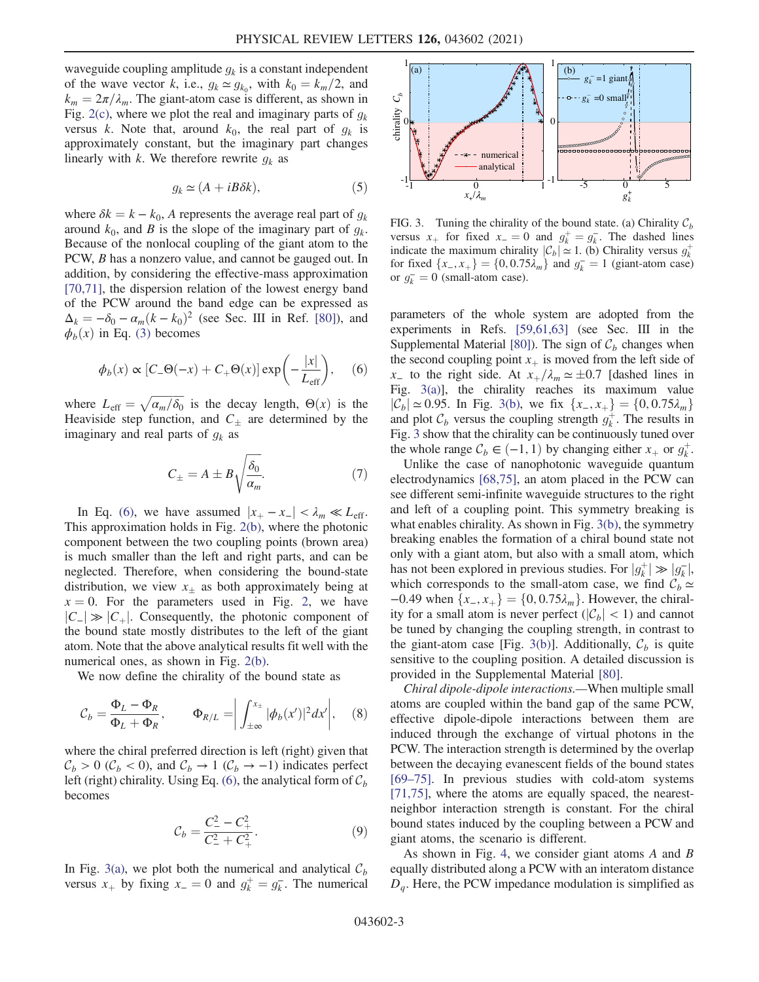waveguide coupling amplitude  $g_k$  is a constant independent of the wave vector k, i.e.,  $g_k \approx g_{k_0}$ , with  $k_0 = k_m/2$ , and  $k_m = 2\pi/\lambda_m$ . The giant-atom case is different, as shown in Fig. [2\(c\)](#page-1-4), where we plot the real and imaginary parts of  $g_k$ versus k. Note that, around  $k_0$ , the real part of  $g_k$  is approximately constant, but the imaginary part changes linearly with k. We therefore rewrite  $g_k$  as

$$
g_k \simeq (A + iB\delta k),\tag{5}
$$

where  $\delta k = k - k_0$ , A represents the average real part of  $g_k$ around  $k_0$ , and B is the slope of the imaginary part of  $g_k$ . Because of the nonlocal coupling of the giant atom to the PCW, B has a nonzero value, and cannot be gauged out. In addition, by considering the effective-mass approximation [\[70,71\]](#page-6-7), the dispersion relation of the lowest energy band of the PCW around the band edge can be expressed as  $\Delta_k = -\delta_0 - \alpha_m (k - k_0)^2$  (see Sec. III in Ref. [\[80\]](#page-6-2)), and  $\phi_b(x)$  in Eq. [\(3\)](#page-1-2) becomes

<span id="page-2-0"></span>
$$
\phi_b(x) \propto [C_- \Theta(-x) + C_+ \Theta(x)] \exp\left(-\frac{|x|}{L_{\text{eff}}}\right), \quad (6)
$$

where  $L_{\text{eff}} = \sqrt{\frac{\alpha_m}{\delta_0}}$  is the decay length,  $\Theta(x)$  is the Heaviside step function and  $C_{\text{eff}}$  are determined by the Heaviside step function, and  $C_{\pm}$  are determined by the imaginary and real parts of  $g_k$  as

$$
C_{\pm} = A \pm B \sqrt{\frac{\delta_0}{\alpha_m}}.\tag{7}
$$

In Eq. [\(6\)](#page-2-0), we have assumed  $|x_+ - x_-| < \lambda_m \ll L_{\text{eff}}$ . This approximation holds in Fig. [2\(b\),](#page-1-4) where the photonic component between the two coupling points (brown area) is much smaller than the left and right parts, and can be neglected. Therefore, when considering the bound-state distribution, we view  $x_{\pm}$  as both approximately being at  $x = 0$ . For the parameters used in Fig. [2,](#page-1-4) we have  $|C_|\gg |C_+|$ . Consequently, the photonic component of the bound state mostly distributes to the left of the giant atom. Note that the above analytical results fit well with the numerical ones, as shown in Fig. [2\(b\).](#page-1-4)

We now define the chirality of the bound state as

$$
\mathcal{C}_b = \frac{\Phi_L - \Phi_R}{\Phi_L + \Phi_R}, \qquad \Phi_{R/L} = \left| \int_{\pm \infty}^{x_\pm} |\phi_b(x')|^2 dx' \right|, \quad (8)
$$

where the chiral preferred direction is left (right) given that  $C_b > 0$  ( $C_b < 0$ ), and  $C_b \rightarrow 1$  ( $C_b \rightarrow -1$ ) indicates perfect left (right) chirality. Using Eq. [\(6\)](#page-2-0), the analytical form of  $\mathcal{C}_b$ becomes

$$
\mathcal{C}_b = \frac{C_-^2 - C_+^2}{C_-^2 + C_+^2}.\tag{9}
$$

In Fig. [3\(a\),](#page-2-1) we plot both the numerical and analytical  $\mathcal{C}_b$ versus  $x_+$  by fixing  $x_-=0$  and  $g_k^+=g_k^-$ . The numerical

<span id="page-2-1"></span>

FIG. 3. Tuning the chirality of the bound state. (a) Chirality  $C_b$ versus  $x_+$  for fixed  $x_-=0$  and  $g_k^+=g_k^-$ . The dashed lines<br>indicate the maximum chirality  $|C_+\rangle \approx 1$  (b) Chirality versus  $a^+$ indicate the maximum chirality  $|\mathcal{C}_b| \approx 1$ . (b) Chirality versus  $g_k^{\dagger}$  for fixed  $\{x \mid x\} = \{0, 0.75\}$  and  $g = -1$  (giant-atom case) for fixed  $\{x_-, x_+\} = \{0, 0.75\lambda_m\}$  and  $g_k^- = 1$  (giant-atom case)<br>or  $g_k^- = 0$  (small-atom case) or  $g_k^- = 0$  (small-atom case).

parameters of the whole system are adopted from the experiments in Refs. [\[59,61,63\]](#page-6-3) (see Sec. III in the Supplemental Material [\[80\]](#page-6-2)). The sign of  $C_b$  changes when the second coupling point  $x<sub>+</sub>$  is moved from the left side of  $x_$  to the right side. At  $x_+/ \lambda_m \simeq \pm 0.7$  [dashed lines in Fig. [3\(a\)\]](#page-2-1), the chirality reaches its maximum value  $|\mathcal{C}_b|$  ≈ 0.95. In Fig. [3\(b\)](#page-2-1), we fix  $\{x_-, x_+\} = \{0, 0.75\lambda_m\}$ and plot  $\mathcal{C}_b$  versus the coupling strength  $g_k^+$ . The results in Fig. [3](#page-2-1) show that the chirality can be continuously tuned over the whole range  $C_b \in (-1, 1)$  by changing either  $x_+$  or  $g_k^+$ .<br>
Hulike the case of nanophotonic waveguide quantum

Unlike the case of nanophotonic waveguide quantum electrodynamics [\[68,75\],](#page-6-4) an atom placed in the PCW can see different semi-infinite waveguide structures to the right and left of a coupling point. This symmetry breaking is what enables chirality. As shown in Fig. [3\(b\),](#page-2-1) the symmetry breaking enables the formation of a chiral bound state not only with a giant atom, but also with a small atom, which has not been explored in previous studies. For  $|g_k^+| \gg |g_k^-|$ , which corresponds to the small-atom case, we find  $C_1 \sim$ which corresponds to the small-atom case, we find  $C_b \simeq$ −0.49 when  $\{x_-, x_+\} = \{0, 0.75\lambda_m\}$ . However, the chirality for a small atom is never perfect  $(|C_b| < 1)$  and cannot be tuned by changing the coupling strength, in contrast to the giant-atom case [Fig. [3\(b\)\]](#page-2-1). Additionally,  $\mathcal{C}_b$  is quite sensitive to the coupling position. A detailed discussion is provided in the Supplemental Material [\[80\]](#page-6-2).

Chiral dipole-dipole interactions.—When multiple small atoms are coupled within the band gap of the same PCW, effective dipole-dipole interactions between them are induced through the exchange of virtual photons in the PCW. The interaction strength is determined by the overlap between the decaying evanescent fields of the bound states [\[69](#page-6-8)–75]. In previous studies with cold-atom systems [\[71,75\]](#page-6-6), where the atoms are equally spaced, the nearestneighbor interaction strength is constant. For the chiral bound states induced by the coupling between a PCW and giant atoms, the scenario is different.

As shown in Fig. [4](#page-3-0), we consider giant atoms A and B equally distributed along a PCW with an interatom distance  $D_q$ . Here, the PCW impedance modulation is simplified as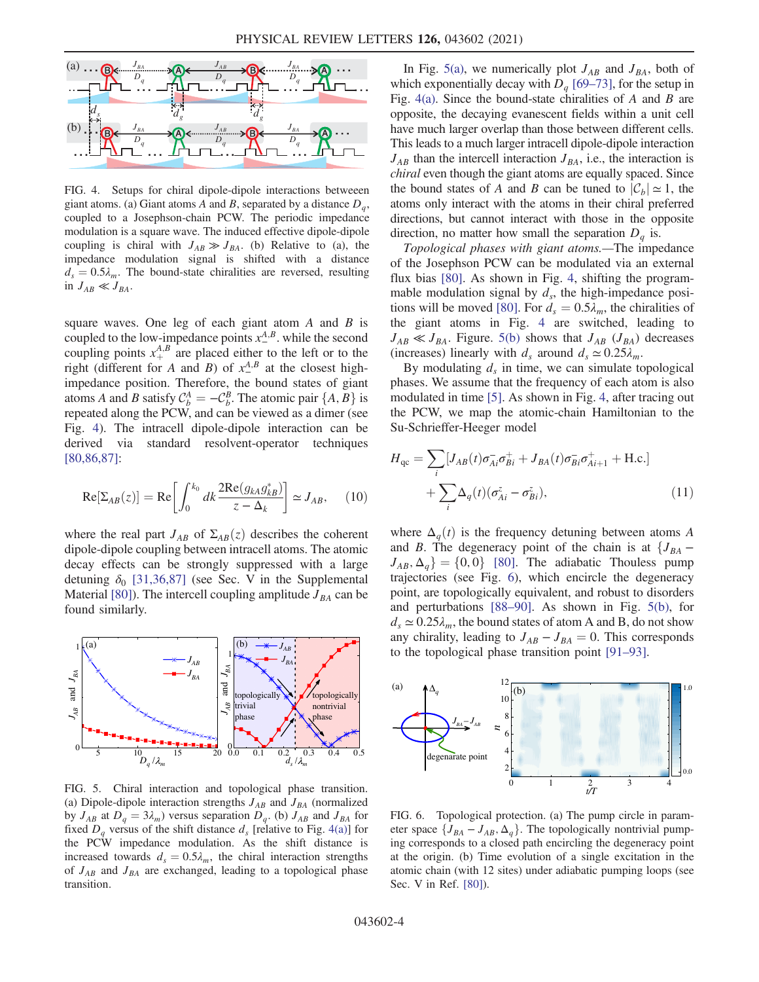<span id="page-3-0"></span>

FIG. 4. Setups for chiral dipole-dipole interactions betweeen giant atoms. (a) Giant atoms A and B, separated by a distance  $D_a$ , coupled to a Josephson-chain PCW. The periodic impedance modulation is a square wave. The induced effective dipole-dipole coupling is chiral with  $J_{AB} \gg J_{BA}$ . (b) Relative to (a), the impedance modulation signal is shifted with a distance  $d_s = 0.5\lambda_m$ . The bound-state chiralities are reversed, resulting in  $J_{AB} \ll J_{BA}$ .

square waves. One leg of each giant atom  $A$  and  $B$  is coupled to the low-impedance points  $x_{-}^{A,B}$ . while the second coupling points  $x_+^{A,B}$  are placed either to the left or to the right (different for A and B) of  $x_+^{A,B}$  at the closest bigh right (different for A and B) of  $x^{A,B}_-$  at the closest highimpedance position. Therefore, the bound states of giant atoms A and B satisfy  $C_b^A = -C_b^B$ . The atomic pair  $\{A, B\}$  is<br>repeated along the PCW and can be viewed as a dimer (see repeated along the PCW, and can be viewed as a dimer (see Fig. [4\)](#page-3-0). The intracell dipole-dipole interaction can be derived via standard resolvent-operator techniques [\[80,86,87\]](#page-6-2):

$$
\operatorname{Re}[\Sigma_{AB}(z)] = \operatorname{Re}\left[\int_0^{k_0} dk \frac{2\operatorname{Re}(g_{kA}g_{kB}^*)}{z - \Delta_k}\right] \simeq J_{AB},\qquad(10)
$$

where the real part  $J_{AB}$  of  $\Sigma_{AB}(z)$  describes the coherent dipole-dipole coupling between intracell atoms. The atomic decay effects can be strongly suppressed with a large detuning  $\delta_0$  [\[31,36,87\]](#page-5-4) (see Sec. V in the Supplemental Material [\[80\]\)](#page-6-2). The intercell coupling amplitude  $J_{BA}$  can be found similarly.

<span id="page-3-1"></span>

FIG. 5. Chiral interaction and topological phase transition. (a) Dipole-dipole interaction strengths  $J_{AB}$  and  $J_{BA}$  (normalized by  $J_{AB}$  at  $D_q = 3\lambda_m$ ) versus separation  $D_q$ . (b)  $J_{AB}$  and  $J_{BA}$  for fixed  $D_a$  versus of the shift distance  $d_s$  [relative to Fig. [4\(a\)](#page-3-0)] for the PCW impedance modulation. As the shift distance is increased towards  $d_s = 0.5\lambda_m$ , the chiral interaction strengths of  $J_{AB}$  and  $J_{BA}$  are exchanged, leading to a topological phase transition.

In Fig. [5\(a\)](#page-3-1), we numerically plot  $J_{AB}$  and  $J_{BA}$ , both of which exponentially decay with  $D_q$  [69–[73\]](#page-6-8), for the setup in Fig.  $4(a)$ . Since the bound-state chiralities of A and B are opposite, the decaying evanescent fields within a unit cell have much larger overlap than those between different cells. This leads to a much larger intracell dipole-dipole interaction  $J_{AB}$  than the intercell interaction  $J_{BA}$ , i.e., the interaction is chiral even though the giant atoms are equally spaced. Since the bound states of A and B can be tuned to  $|\mathcal{C}_b| \simeq 1$ , the atoms only interact with the atoms in their chiral preferred directions, but cannot interact with those in the opposite direction, no matter how small the separation  $D_a$  is.

Topological phases with giant atoms.—The impedance of the Josephson PCW can be modulated via an external flux bias [\[80\]](#page-6-2). As shown in Fig. [4](#page-3-0), shifting the programmable modulation signal by  $d_s$ , the high-impedance posi-tions will be moved [\[80\].](#page-6-2) For  $d_s = 0.5\lambda_m$ , the chiralities of the giant atoms in Fig. [4](#page-3-0) are switched, leading to  $J_{AB} \ll J_{BA}$ . Figure. [5\(b\)](#page-3-1) shows that  $J_{AB}$  ( $J_{BA}$ ) decreases (increases) linearly with  $d_s$  around  $d_s \approx 0.25 \lambda_m$ .

By modulating  $d_s$  in time, we can simulate topological phases. We assume that the frequency of each atom is also modulated in time [\[5\]](#page-4-5). As shown in Fig. [4,](#page-3-0) after tracing out the PCW, we map the atomic-chain Hamiltonian to the Su-Schrieffer-Heeger model

$$
H_{\rm qc} = \sum_{i} [J_{AB}(t)\sigma_{Ai}^{\dagger}\sigma_{Bi}^{+} + J_{BA}(t)\sigma_{Bi}^{\dagger}\sigma_{Ai+1}^{+} + \text{H.c.}] + \sum_{i} \Delta_q(t)(\sigma_{Ai}^z - \sigma_{Bi}^z),
$$
\n(11)

where  $\Delta_a(t)$  is the frequency detuning between atoms A and B. The degeneracy point of the chain is at  ${J_{BA}}$  –  $J_{AB}, \Delta_q$ } = {0, 0} [\[80\].](#page-6-2) The adiabatic Thouless pump trajectories (see Fig. [6\)](#page-3-2), which encircle the degeneracy point, are topologically equivalent, and robust to disorders and perturbations [88–[90\].](#page-7-0) As shown in Fig. [5\(b\),](#page-3-1) for  $d_s \approx 0.25 \lambda_m$ , the bound states of atom A and B, do not show any chirality, leading to  $J_{AB} - J_{BA} = 0$ . This corresponds to the topological phase transition point [91–[93\].](#page-7-1)

<span id="page-3-2"></span>

FIG. 6. Topological protection. (a) The pump circle in parameter space  $\{J_{BA} - J_{AB}, \Delta_q\}$ . The topologically nontrivial pumping corresponds to a closed path encircling the degeneracy point at the origin. (b) Time evolution of a single excitation in the atomic chain (with 12 sites) under adiabatic pumping loops (see Sec. V in Ref. [\[80\]\)](#page-6-2).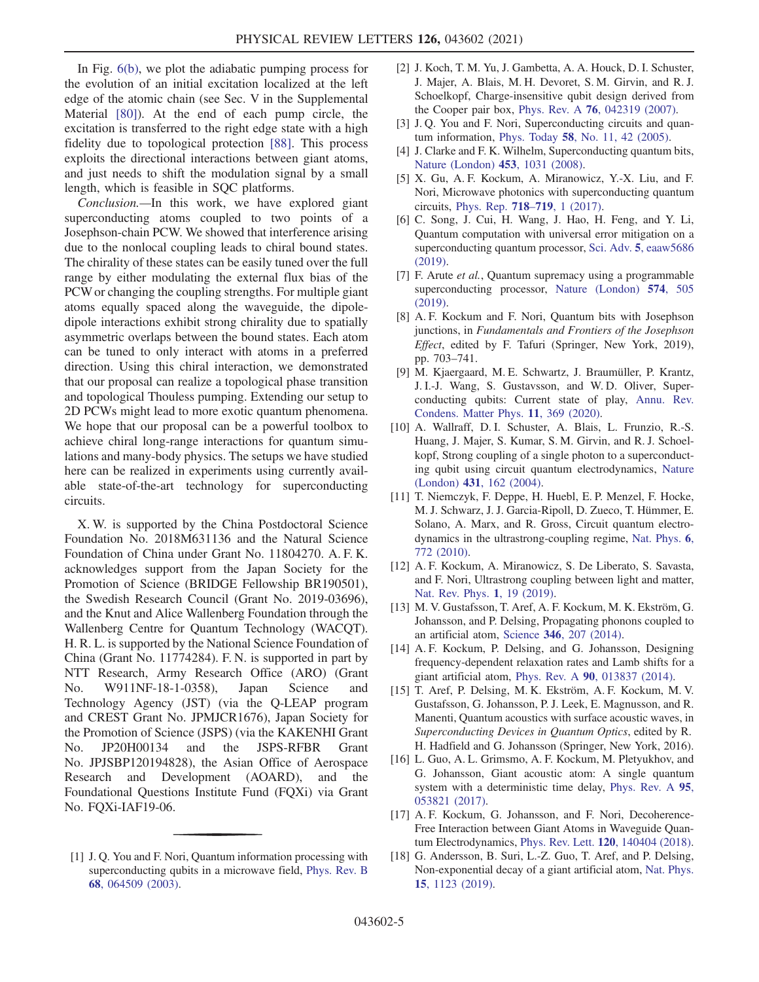In Fig. [6\(b\),](#page-3-2) we plot the adiabatic pumping process for the evolution of an initial excitation localized at the left edge of the atomic chain (see Sec. V in the Supplemental Material [\[80\]\)](#page-6-2). At the end of each pump circle, the excitation is transferred to the right edge state with a high fidelity due to topological protection [\[88\]](#page-7-0). This process exploits the directional interactions between giant atoms, and just needs to shift the modulation signal by a small length, which is feasible in SQC platforms.

Conclusion.—In this work, we have explored giant superconducting atoms coupled to two points of a Josephson-chain PCW. We showed that interference arising due to the nonlocal coupling leads to chiral bound states. The chirality of these states can be easily tuned over the full range by either modulating the external flux bias of the PCW or changing the coupling strengths. For multiple giant atoms equally spaced along the waveguide, the dipoledipole interactions exhibit strong chirality due to spatially asymmetric overlaps between the bound states. Each atom can be tuned to only interact with atoms in a preferred direction. Using this chiral interaction, we demonstrated that our proposal can realize a topological phase transition and topological Thouless pumping. Extending our setup to 2D PCWs might lead to more exotic quantum phenomena. We hope that our proposal can be a powerful toolbox to achieve chiral long-range interactions for quantum simulations and many-body physics. The setups we have studied here can be realized in experiments using currently available state-of-the-art technology for superconducting circuits.

X. W. is supported by the China Postdoctoral Science Foundation No. 2018M631136 and the Natural Science Foundation of China under Grant No. 11804270. A. F. K. acknowledges support from the Japan Society for the Promotion of Science (BRIDGE Fellowship BR190501), the Swedish Research Council (Grant No. 2019-03696), and the Knut and Alice Wallenberg Foundation through the Wallenberg Centre for Quantum Technology (WACQT). H. R. L. is supported by the National Science Foundation of China (Grant No. 11774284). F. N. is supported in part by NTT Research, Army Research Office (ARO) (Grant No. W911NF-18-1-0358), Japan Science and Technology Agency (JST) (via the Q-LEAP program and CREST Grant No. JPMJCR1676), Japan Society for the Promotion of Science (JSPS) (via the KAKENHI Grant No. JP20H00134 and the JSPS-RFBR Grant No. JPJSBP120194828), the Asian Office of Aerospace Research and Development (AOARD), and the Foundational Questions Institute Fund (FQXi) via Grant No. FQXi-IAF19-06.

- [2] J. Koch, T. M. Yu, J. Gambetta, A. A. Houck, D. I. Schuster, J. Majer, A. Blais, M. H. Devoret, S. M. Girvin, and R. J. Schoelkopf, Charge-insensitive qubit design derived from the Cooper pair box, Phys. Rev. A 76[, 042319 \(2007\)](https://doi.org/10.1103/PhysRevA.76.042319).
- [3] J. Q. You and F. Nori, Superconducting circuits and quantum information, Phys. Today 58[, No. 11, 42 \(2005\)](https://doi.org/10.1063/1.2155757).
- [4] J. Clarke and F. K. Wilhelm, Superconducting quantum bits, [Nature \(London\)](https://doi.org/10.1038/nature07128) 453, 1031 (2008).
- <span id="page-4-5"></span>[5] X. Gu, A. F. Kockum, A. Miranowicz, Y.-X. Liu, and F. Nori, Microwave photonics with superconducting quantum circuits, [Phys. Rep.](https://doi.org/10.1016/j.physrep.2017.10.002) 718–719, 1 (2017).
- [6] C. Song, J. Cui, H. Wang, J. Hao, H. Feng, and Y. Li, Quantum computation with universal error mitigation on a superconducting quantum processor, Sci. Adv. 5[, eaaw5686](https://doi.org/10.1126/sciadv.aaw5686) [\(2019\).](https://doi.org/10.1126/sciadv.aaw5686)
- [7] F. Arute *et al.*, Quantum supremacy using a programmable superconducting processor, [Nature \(London\)](https://doi.org/10.1038/s41586-019-1666-5) 574, 505 [\(2019\).](https://doi.org/10.1038/s41586-019-1666-5)
- [8] A. F. Kockum and F. Nori, Quantum bits with Josephson junctions, in Fundamentals and Frontiers of the Josephson Effect, edited by F. Tafuri (Springer, New York, 2019), pp. 703–741.
- [9] M. Kjaergaard, M. E. Schwartz, J. Braumüller, P. Krantz, J. I.-J. Wang, S. Gustavsson, and W. D. Oliver, Superconducting qubits: Current state of play, [Annu. Rev.](https://doi.org/10.1146/annurev-conmatphys-031119-050605) [Condens. Matter Phys.](https://doi.org/10.1146/annurev-conmatphys-031119-050605) 11, 369 (2020).
- <span id="page-4-1"></span>[10] A. Wallraff, D. I. Schuster, A. Blais, L. Frunzio, R.-S. Huang, J. Majer, S. Kumar, S. M. Girvin, and R. J. Schoelkopf, Strong coupling of a single photon to a superconducting qubit using circuit quantum electrodynamics, [Nature](https://doi.org/10.1038/nature02851) (London) 431[, 162 \(2004\)](https://doi.org/10.1038/nature02851).
- [11] T. Niemczyk, F. Deppe, H. Huebl, E. P. Menzel, F. Hocke, M. J. Schwarz, J. J. Garcia-Ripoll, D. Zueco, T. Hümmer, E. Solano, A. Marx, and R. Gross, Circuit quantum electrodynamics in the ultrastrong-coupling regime, [Nat. Phys.](https://doi.org/10.1038/nphys1730) 6, [772 \(2010\)](https://doi.org/10.1038/nphys1730).
- [12] A. F. Kockum, A. Miranowicz, S. De Liberato, S. Savasta, and F. Nori, Ultrastrong coupling between light and matter, [Nat. Rev. Phys.](https://doi.org/10.1038/s42254-018-0006-2) 1, 19 (2019).
- <span id="page-4-2"></span>[13] M. V. Gustafsson, T. Aref, A. F. Kockum, M. K. Ekström, G. Johansson, and P. Delsing, Propagating phonons coupled to an artificial atom, Science 346[, 207 \(2014\).](https://doi.org/10.1126/science.1257219)
- <span id="page-4-3"></span>[14] A. F. Kockum, P. Delsing, and G. Johansson, Designing frequency-dependent relaxation rates and Lamb shifts for a giant artificial atom, Phys. Rev. A 90[, 013837 \(2014\).](https://doi.org/10.1103/PhysRevA.90.013837)
- [15] T. Aref, P. Delsing, M. K. Ekström, A. F. Kockum, M. V. Gustafsson, G. Johansson, P. J. Leek, E. Magnusson, and R. Manenti, Quantum acoustics with surface acoustic waves, in Superconducting Devices in Quantum Optics, edited by R. H. Hadfield and G. Johansson (Springer, New York, 2016).
- <span id="page-4-4"></span>[16] L. Guo, A. L. Grimsmo, A. F. Kockum, M. Pletyukhov, and G. Johansson, Giant acoustic atom: A single quantum system with a deterministic time delay, [Phys. Rev. A](https://doi.org/10.1103/PhysRevA.95.053821) 95, [053821 \(2017\).](https://doi.org/10.1103/PhysRevA.95.053821)
- [17] A. F. Kockum, G. Johansson, and F. Nori, Decoherence-Free Interaction between Giant Atoms in Waveguide Quantum Electrodynamics, Phys. Rev. Lett. 120[, 140404 \(2018\).](https://doi.org/10.1103/PhysRevLett.120.140404)
- [18] G. Andersson, B. Suri, L.-Z. Guo, T. Aref, and P. Delsing, Non-exponential decay of a giant artificial atom, [Nat. Phys.](https://doi.org/10.1038/s41567-019-0605-6) 15[, 1123 \(2019\)](https://doi.org/10.1038/s41567-019-0605-6).

<span id="page-4-0"></span><sup>[1]</sup> J. O. You and F. Nori, Quantum information processing with superconducting qubits in a microwave field, [Phys. Rev. B](https://doi.org/10.1103/PhysRevB.68.064509) 68[, 064509 \(2003\).](https://doi.org/10.1103/PhysRevB.68.064509)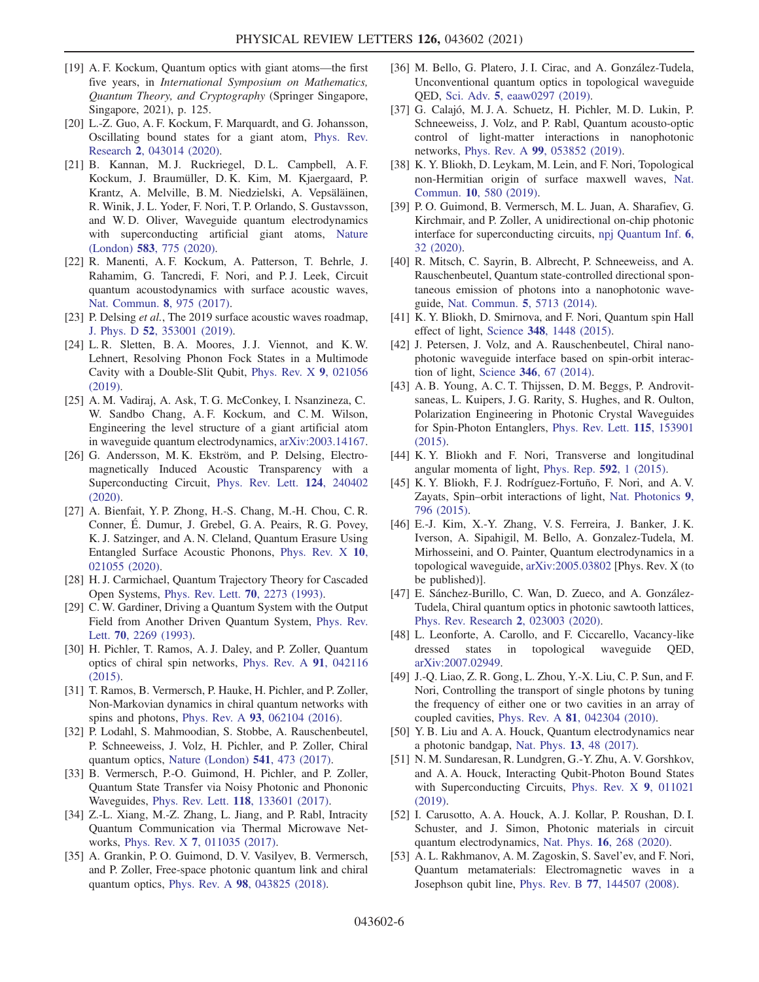- [19] A. F. Kockum, Quantum optics with giant atoms—the first five years, in *International Symposium on Mathematics*, Quantum Theory, and Cryptography (Springer Singapore, Singapore, 2021), p. 125.
- [20] L.-Z. Guo, A. F. Kockum, F. Marquardt, and G. Johansson, Oscillating bound states for a giant atom, [Phys. Rev.](https://doi.org/10.1103/PhysRevResearch.2.043014) Research 2[, 043014 \(2020\).](https://doi.org/10.1103/PhysRevResearch.2.043014)
- [21] B. Kannan, M. J. Ruckriegel, D. L. Campbell, A. F. Kockum, J. Braumüller, D. K. Kim, M. Kjaergaard, P. Krantz, A. Melville, B. M. Niedzielski, A. Vepsäläinen, R. Winik, J. L. Yoder, F. Nori, T. P. Orlando, S. Gustavsson, and W. D. Oliver, Waveguide quantum electrodynamics with superconducting artificial giant atoms, [Nature](https://doi.org/10.1038/s41586-020-2529-9) (London) 583[, 775 \(2020\)](https://doi.org/10.1038/s41586-020-2529-9).
- [22] R. Manenti, A. F. Kockum, A. Patterson, T. Behrle, J. Rahamim, G. Tancredi, F. Nori, and P. J. Leek, Circuit quantum acoustodynamics with surface acoustic waves, [Nat. Commun.](https://doi.org/10.1038/s41467-017-01063-9) 8, 975 (2017).
- [23] P. Delsing *et al.*, The 2019 surface acoustic waves roadmap, J. Phys. D 52[, 353001 \(2019\).](https://doi.org/10.1088/1361-6463/ab1b04)
- [24] L. R. Sletten, B. A. Moores, J. J. Viennot, and K. W. Lehnert, Resolving Phonon Fock States in a Multimode Cavity with a Double-Slit Qubit, [Phys. Rev. X](https://doi.org/10.1103/PhysRevX.9.021056) 9, 021056 [\(2019\).](https://doi.org/10.1103/PhysRevX.9.021056)
- [25] A. M. Vadiraj, A. Ask, T. G. McConkey, I. Nsanzineza, C. W. Sandbo Chang, A. F. Kockum, and C. M. Wilson, Engineering the level structure of a giant artificial atom in waveguide quantum electrodynamics, [arXiv:2003.14167.](https://arXiv.org/abs/2003.14167)
- [26] G. Andersson, M. K. Ekström, and P. Delsing, Electromagnetically Induced Acoustic Transparency with a Superconducting Circuit, [Phys. Rev. Lett.](https://doi.org/10.1103/PhysRevLett.124.240402) 124, 240402 [\(2020\).](https://doi.org/10.1103/PhysRevLett.124.240402)
- [27] A. Bienfait, Y. P. Zhong, H.-S. Chang, M.-H. Chou, C. R. Conner, É. Dumur, J. Grebel, G. A. Peairs, R. G. Povey, K. J. Satzinger, and A. N. Cleland, Quantum Erasure Using Entangled Surface Acoustic Phonons, [Phys. Rev. X](https://doi.org/10.1103/PhysRevX.10.021055) 10, [021055 \(2020\).](https://doi.org/10.1103/PhysRevX.10.021055)
- <span id="page-5-0"></span>[28] H. J. Carmichael, Quantum Trajectory Theory for Cascaded Open Systems, [Phys. Rev. Lett.](https://doi.org/10.1103/PhysRevLett.70.2273) 70, 2273 (1993).
- [29] C. W. Gardiner, Driving a Quantum System with the Output Field from Another Driven Quantum System, [Phys. Rev.](https://doi.org/10.1103/PhysRevLett.70.2269) Lett. 70[, 2269 \(1993\)](https://doi.org/10.1103/PhysRevLett.70.2269).
- <span id="page-5-5"></span>[30] H. Pichler, T. Ramos, A. J. Daley, and P. Zoller, Quantum optics of chiral spin networks, [Phys. Rev. A](https://doi.org/10.1103/PhysRevA.91.042116) 91, 042116 [\(2015\).](https://doi.org/10.1103/PhysRevA.91.042116)
- <span id="page-5-4"></span>[31] T. Ramos, B. Vermersch, P. Hauke, H. Pichler, and P. Zoller, Non-Markovian dynamics in chiral quantum networks with spins and photons, Phys. Rev. A 93[, 062104 \(2016\).](https://doi.org/10.1103/PhysRevA.93.062104)
- [32] P. Lodahl, S. Mahmoodian, S. Stobbe, A. Rauschenbeutel, P. Schneeweiss, J. Volz, H. Pichler, and P. Zoller, Chiral quantum optics, [Nature \(London\)](https://doi.org/10.1038/nature21037) 541, 473 (2017).
- [33] B. Vermersch, P.-O. Guimond, H. Pichler, and P. Zoller, Quantum State Transfer via Noisy Photonic and Phononic Waveguides, Phys. Rev. Lett. 118[, 133601 \(2017\)](https://doi.org/10.1103/PhysRevLett.118.133601).
- [34] Z.-L. Xiang, M.-Z. Zhang, L. Jiang, and P. Rabl, Intracity Quantum Communication via Thermal Microwave Networks, Phys. Rev. X 7[, 011035 \(2017\)](https://doi.org/10.1103/PhysRevX.7.011035).
- [35] A. Grankin, P. O. Guimond, D. V. Vasilyev, B. Vermersch, and P. Zoller, Free-space photonic quantum link and chiral quantum optics, Phys. Rev. A 98[, 043825 \(2018\)](https://doi.org/10.1103/PhysRevA.98.043825).
- <span id="page-5-3"></span>[36] M. Bello, G. Platero, J. I. Cirac, and A. González-Tudela, Unconventional quantum optics in topological waveguide QED, Sci. Adv. 5[, eaaw0297 \(2019\)](https://doi.org/10.1126/sciadv.aaw0297).
- <span id="page-5-2"></span>[37] G. Calajó, M. J. A. Schuetz, H. Pichler, M. D. Lukin, P. Schneeweiss, J. Volz, and P. Rabl, Quantum acousto-optic control of light-matter interactions in nanophotonic networks, Phys. Rev. A 99[, 053852 \(2019\).](https://doi.org/10.1103/PhysRevA.99.053852)
- [38] K. Y. Bliokh, D. Leykam, M. Lein, and F. Nori, Topological non-Hermitian origin of surface maxwell waves, [Nat.](https://doi.org/10.1038/s41467-019-08397-6) Commun. 10[, 580 \(2019\).](https://doi.org/10.1038/s41467-019-08397-6)
- <span id="page-5-7"></span>[39] P. O. Guimond, B. Vermersch, M. L. Juan, A. Sharafiev, G. Kirchmair, and P. Zoller, A unidirectional on-chip photonic interface for superconducting circuits, [npj Quantum Inf.](https://doi.org/10.1038/s41534-020-0261-9) 6, [32 \(2020\).](https://doi.org/10.1038/s41534-020-0261-9)
- <span id="page-5-1"></span>[40] R. Mitsch, C. Sayrin, B. Albrecht, P. Schneeweiss, and A. Rauschenbeutel, Quantum state-controlled directional spontaneous emission of photons into a nanophotonic waveguide, [Nat. Commun.](https://doi.org/10.1038/ncomms6713) 5, 5713 (2014).
- [41] K. Y. Bliokh, D. Smirnova, and F. Nori, Quantum spin Hall effect of light, Science 348[, 1448 \(2015\)](https://doi.org/10.1126/science.aaa9519).
- [42] J. Petersen, J. Volz, and A. Rauschenbeutel, Chiral nanophotonic waveguide interface based on spin-orbit interaction of light, Science 346[, 67 \(2014\)](https://doi.org/10.1126/science.1257671).
- [43] A. B. Young, A. C. T. Thijssen, D. M. Beggs, P. Androvitsaneas, L. Kuipers, J. G. Rarity, S. Hughes, and R. Oulton, Polarization Engineering in Photonic Crystal Waveguides for Spin-Photon Entanglers, [Phys. Rev. Lett.](https://doi.org/10.1103/PhysRevLett.115.153901) 115, 153901 [\(2015\).](https://doi.org/10.1103/PhysRevLett.115.153901)
- [44] K. Y. Bliokh and F. Nori, Transverse and longitudinal angular momenta of light, [Phys. Rep.](https://doi.org/10.1016/j.physrep.2015.06.003) 592, 1 (2015).
- [45] K. Y. Bliokh, F. J. Rodríguez-Fortuño, F. Nori, and A. V. Zayats, Spin–orbit interactions of light, [Nat. Photonics](https://doi.org/10.1038/nphoton.2015.201) 9, [796 \(2015\)](https://doi.org/10.1038/nphoton.2015.201).
- <span id="page-5-6"></span>[46] E.-J. Kim, X.-Y. Zhang, V. S. Ferreira, J. Banker, J. K. Iverson, A. Sipahigil, M. Bello, A. Gonzalez-Tudela, M. Mirhosseini, and O. Painter, Quantum electrodynamics in a topological waveguide, [arXiv:2005.03802](https://arXiv.org/abs/2005.03802) [Phys. Rev. X (to be published)].
- [47] E. Sánchez-Burillo, C. Wan, D. Zueco, and A. González-Tudela, Chiral quantum optics in photonic sawtooth lattices, [Phys. Rev. Research](https://doi.org/10.1103/PhysRevResearch.2.023003) 2, 023003 (2020).
- [48] L. Leonforte, A. Carollo, and F. Ciccarello, Vacancy-like dressed states in topological waveguide QED, [arXiv:2007.02949.](https://arXiv.org/abs/2007.02949)
- <span id="page-5-8"></span>[49] J.-Q. Liao, Z. R. Gong, L. Zhou, Y.-X. Liu, C. P. Sun, and F. Nori, Controlling the transport of single photons by tuning the frequency of either one or two cavities in an array of coupled cavities, Phys. Rev. A 81[, 042304 \(2010\).](https://doi.org/10.1103/PhysRevA.81.042304)
- [50] Y. B. Liu and A. A. Houck, Quantum electrodynamics near a photonic bandgap, Nat. Phys. 13[, 48 \(2017\)](https://doi.org/10.1038/nphys3834).
- [51] N. M. Sundaresan, R. Lundgren, G.-Y. Zhu, A. V. Gorshkov, and A. A. Houck, Interacting Qubit-Photon Bound States with Superconducting Circuits, [Phys. Rev. X](https://doi.org/10.1103/PhysRevX.9.011021) 9, 011021 [\(2019\).](https://doi.org/10.1103/PhysRevX.9.011021)
- [52] I. Carusotto, A. A. Houck, A. J. Kollar, P. Roushan, D. I. Schuster, and J. Simon, Photonic materials in circuit quantum electrodynamics, Nat. Phys. 16[, 268 \(2020\).](https://doi.org/10.1038/s41567-020-0815-y)
- <span id="page-5-9"></span>[53] A. L. Rakhmanov, A. M. Zagoskin, S. Savel'ev, and F. Nori, Quantum metamaterials: Electromagnetic waves in a Josephson qubit line, Phys. Rev. B 77[, 144507 \(2008\).](https://doi.org/10.1103/PhysRevB.77.144507)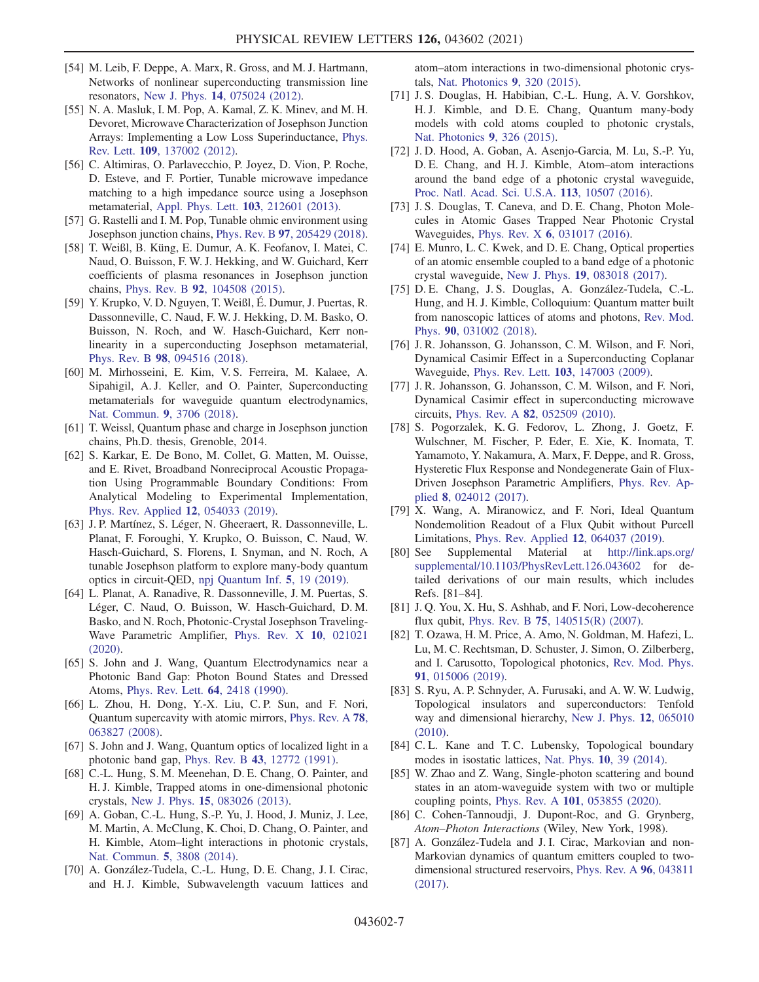- [54] M. Leib, F. Deppe, A. Marx, R. Gross, and M. J. Hartmann, Networks of nonlinear superconducting transmission line resonators, New J. Phys. 14[, 075024 \(2012\).](https://doi.org/10.1088/1367-2630/14/7/075024)
- [55] N. A. Masluk, I. M. Pop, A. Kamal, Z. K. Minev, and M. H. Devoret, Microwave Characterization of Josephson Junction Arrays: Implementing a Low Loss Superinductance, [Phys.](https://doi.org/10.1103/PhysRevLett.109.137002) Rev. Lett. 109[, 137002 \(2012\).](https://doi.org/10.1103/PhysRevLett.109.137002)
- [56] C. Altimiras, O. Parlavecchio, P. Joyez, D. Vion, P. Roche, D. Esteve, and F. Portier, Tunable microwave impedance matching to a high impedance source using a Josephson metamaterial, [Appl. Phys. Lett.](https://doi.org/10.1063/1.4832074) 103, 212601 (2013).
- [57] G. Rastelli and I. M. Pop, Tunable ohmic environment using Josephson junction chains, Phys. Rev. B 97[, 205429 \(2018\).](https://doi.org/10.1103/PhysRevB.97.205429)
- [58] T. Weißl, B. Küng, E. Dumur, A. K. Feofanov, I. Matei, C. Naud, O. Buisson, F. W. J. Hekking, and W. Guichard, Kerr coefficients of plasma resonances in Josephson junction chains, Phys. Rev. B 92[, 104508 \(2015\).](https://doi.org/10.1103/PhysRevB.92.104508)
- <span id="page-6-3"></span>[59] Y. Krupko, V. D. Nguyen, T. Weißl, É. Dumur, J. Puertas, R. Dassonneville, C. Naud, F. W. J. Hekking, D. M. Basko, O. Buisson, N. Roch, and W. Hasch-Guichard, Kerr nonlinearity in a superconducting Josephson metamaterial, Phys. Rev. B 98[, 094516 \(2018\).](https://doi.org/10.1103/PhysRevB.98.094516)
- [60] M. Mirhosseini, E. Kim, V. S. Ferreira, M. Kalaee, A. Sipahigil, A. J. Keller, and O. Painter, Superconducting metamaterials for waveguide quantum electrodynamics, [Nat. Commun.](https://doi.org/10.1038/s41467-018-06142-z) 9, 3706 (2018).
- [61] T. Weissl, Quantum phase and charge in Josephson junction chains, Ph.D. thesis, Grenoble, 2014.
- [62] S. Karkar, E. De Bono, M. Collet, G. Matten, M. Ouisse, and E. Rivet, Broadband Nonreciprocal Acoustic Propagation Using Programmable Boundary Conditions: From Analytical Modeling to Experimental Implementation, [Phys. Rev. Applied](https://doi.org/10.1103/PhysRevApplied.12.054033) 12, 054033 (2019).
- [63] J. P. Martínez, S. Léger, N. Gheeraert, R. Dassonneville, L. Planat, F. Foroughi, Y. Krupko, O. Buisson, C. Naud, W. Hasch-Guichard, S. Florens, I. Snyman, and N. Roch, A tunable Josephson platform to explore many-body quantum optics in circuit-QED, [npj Quantum Inf.](https://doi.org/10.1038/s41534-018-0104-0) 5, 19 (2019).
- [64] L. Planat, A. Ranadive, R. Dassonneville, J. M. Puertas, S. Léger, C. Naud, O. Buisson, W. Hasch-Guichard, D. M. Basko, and N. Roch, Photonic-Crystal Josephson Traveling-Wave Parametric Amplifier, [Phys. Rev. X](https://doi.org/10.1103/PhysRevX.10.021021) 10, 021021 [\(2020\).](https://doi.org/10.1103/PhysRevX.10.021021)
- <span id="page-6-0"></span>[65] S. John and J. Wang, Quantum Electrodynamics near a Photonic Band Gap: Photon Bound States and Dressed Atoms, [Phys. Rev. Lett.](https://doi.org/10.1103/PhysRevLett.64.2418) 64, 2418 (1990).
- [66] L. Zhou, H. Dong, Y.-X. Liu, C. P. Sun, and F. Nori, Quantum supercavity with atomic mirrors, [Phys. Rev. A](https://doi.org/10.1103/PhysRevA.78.063827) 78, [063827 \(2008\).](https://doi.org/10.1103/PhysRevA.78.063827)
- <span id="page-6-4"></span>[67] S. John and J. Wang, Quantum optics of localized light in a photonic band gap, Phys. Rev. B 43[, 12772 \(1991\).](https://doi.org/10.1103/PhysRevB.43.12772)
- [68] C.-L. Hung, S. M. Meenehan, D. E. Chang, O. Painter, and H. J. Kimble, Trapped atoms in one-dimensional photonic crystals, New J. Phys. 15[, 083026 \(2013\).](https://doi.org/10.1088/1367-2630/15/8/083026)
- <span id="page-6-8"></span>[69] A. Goban, C.-L. Hung, S.-P. Yu, J. Hood, J. Muniz, J. Lee, M. Martin, A. McClung, K. Choi, D. Chang, O. Painter, and H. Kimble, Atom–light interactions in photonic crystals, [Nat. Commun.](https://doi.org/10.1038/ncomms4808) 5, 3808 (2014).
- <span id="page-6-7"></span>[70] A. González-Tudela, C.-L. Hung, D. E. Chang, J. I. Cirac, and H. J. Kimble, Subwavelength vacuum lattices and

atom–atom interactions in two-dimensional photonic crystals, [Nat. Photonics](https://doi.org/10.1038/nphoton.2015.54) 9, 320 (2015).

- <span id="page-6-6"></span>[71] J. S. Douglas, H. Habibian, C.-L. Hung, A. V. Gorshkov, H. J. Kimble, and D. E. Chang, Quantum many-body models with cold atoms coupled to photonic crystals, [Nat. Photonics](https://doi.org/10.1038/nphoton.2015.57) 9, 326 (2015).
- [72] J. D. Hood, A. Goban, A. Asenjo-Garcia, M. Lu, S.-P. Yu, D. E. Chang, and H. J. Kimble, Atom–atom interactions around the band edge of a photonic crystal waveguide, [Proc. Natl. Acad. Sci. U.S.A.](https://doi.org/10.1073/pnas.1603788113) 113, 10507 (2016).
- [73] J. S. Douglas, T. Caneva, and D. E. Chang, Photon Molecules in Atomic Gases Trapped Near Photonic Crystal Waveguides, Phys. Rev. X 6[, 031017 \(2016\)](https://doi.org/10.1103/PhysRevX.6.031017).
- [74] E. Munro, L. C. Kwek, and D. E. Chang, Optical properties of an atomic ensemble coupled to a band edge of a photonic crystal waveguide, New J. Phys. 19[, 083018 \(2017\)](https://doi.org/10.1088/1367-2630/aa7fad).
- [75] D. E. Chang, J. S. Douglas, A. González-Tudela, C.-L. Hung, and H. J. Kimble, Colloquium: Quantum matter built from nanoscopic lattices of atoms and photons, [Rev. Mod.](https://doi.org/10.1103/RevModPhys.90.031002) Phys. 90[, 031002 \(2018\)](https://doi.org/10.1103/RevModPhys.90.031002).
- <span id="page-6-1"></span>[76] J. R. Johansson, G. Johansson, C. M. Wilson, and F. Nori, Dynamical Casimir Effect in a Superconducting Coplanar Waveguide, Phys. Rev. Lett. 103[, 147003 \(2009\).](https://doi.org/10.1103/PhysRevLett.103.147003)
- [77] J. R. Johansson, G. Johansson, C. M. Wilson, and F. Nori, Dynamical Casimir effect in superconducting microwave circuits, Phys. Rev. A 82[, 052509 \(2010\).](https://doi.org/10.1103/PhysRevA.82.052509)
- [78] S. Pogorzalek, K. G. Fedorov, L. Zhong, J. Goetz, F. Wulschner, M. Fischer, P. Eder, E. Xie, K. Inomata, T. Yamamoto, Y. Nakamura, A. Marx, F. Deppe, and R. Gross, Hysteretic Flux Response and Nondegenerate Gain of Flux-Driven Josephson Parametric Amplifiers, [Phys. Rev. Ap](https://doi.org/10.1103/PhysRevApplied.8.024012)plied 8[, 024012 \(2017\)](https://doi.org/10.1103/PhysRevApplied.8.024012).
- [79] X. Wang, A. Miranowicz, and F. Nori, Ideal Quantum Nondemolition Readout of a Flux Qubit without Purcell Limitations, [Phys. Rev. Applied](https://doi.org/10.1103/PhysRevApplied.12.064037) 12, 064037 (2019).
- <span id="page-6-2"></span>[80] See Supplemental Material at [http://link.aps.org/](http://link.aps.org/supplemental/10.1103/PhysRevLett.126.043602) [supplemental/10.1103/PhysRevLett.126.043602](http://link.aps.org/supplemental/10.1103/PhysRevLett.126.043602) for detailed derivations of our main results, which includes Refs. [81–84].
- [81] J. Q. You, X. Hu, S. Ashhab, and F. Nori, Low-decoherence flux qubit, Phys. Rev. B 75[, 140515\(R\) \(2007\)](https://doi.org/10.1103/PhysRevB.75.140515).
- [82] T. Ozawa, H. M. Price, A. Amo, N. Goldman, M. Hafezi, L. Lu, M. C. Rechtsman, D. Schuster, J. Simon, O. Zilberberg, and I. Carusotto, Topological photonics, [Rev. Mod. Phys.](https://doi.org/10.1103/RevModPhys.91.015006) 91[, 015006 \(2019\).](https://doi.org/10.1103/RevModPhys.91.015006)
- [83] S. Ryu, A. P. Schnyder, A. Furusaki, and A. W. W. Ludwig, Topological insulators and superconductors: Tenfold way and dimensional hierarchy, [New J. Phys.](https://doi.org/10.1088/1367-2630/12/6/065010) 12, 065010 [\(2010\).](https://doi.org/10.1088/1367-2630/12/6/065010)
- <span id="page-6-5"></span>[84] C.L. Kane and T.C. Lubensky, Topological boundary modes in isostatic lattices, Nat. Phys. 10[, 39 \(2014\)](https://doi.org/10.1038/nphys2835).
- [85] W. Zhao and Z. Wang, Single-photon scattering and bound states in an atom-waveguide system with two or multiple coupling points, Phys. Rev. A 101[, 053855 \(2020\)](https://doi.org/10.1103/PhysRevA.101.053855).
- [86] C. Cohen-Tannoudji, J. Dupont-Roc, and G. Grynberg, Atom–Photon Interactions (Wiley, New York, 1998).
- [87] A. González-Tudela and J. I. Cirac, Markovian and non-Markovian dynamics of quantum emitters coupled to twodimensional structured reservoirs, [Phys. Rev. A](https://doi.org/10.1103/PhysRevA.96.043811) 96, 043811 [\(2017\).](https://doi.org/10.1103/PhysRevA.96.043811)